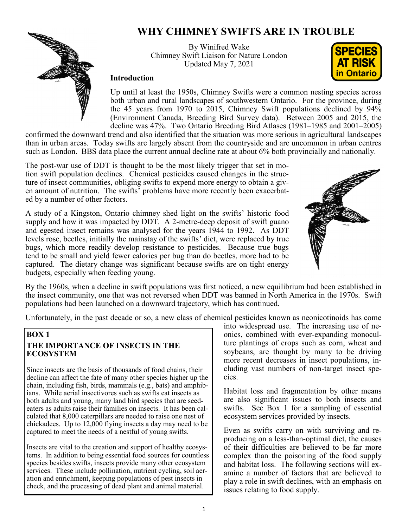# **WHY CHIMNEY SWIFTS ARE IN TROUBLE**



### By Winifred Wake Chimney Swift Liaison for Nature London Updated May 7, 2021



### **Introduction**

Up until at least the 1950s, Chimney Swifts were a common nesting species across both urban and rural landscapes of southwestern Ontario. For the province, during the 45 years from 1970 to 2015, Chimney Swift populations declined by 94% (Environment Canada, Breeding Bird Survey data). Between 2005 and 2015, the decline was 47%. Two Ontario Breeding Bird Atlases (1981–1985 and 2001–2005)

confirmed the downward trend and also identified that the situation was more serious in agricultural landscapes than in urban areas. Today swifts are largely absent from the countryside and are uncommon in urban centres such as London. BBS data place the current annual decline rate at about 6% both provincially and nationally.

The post-war use of DDT is thought to be the most likely trigger that set in motion swift population declines. Chemical pesticides caused changes in the structure of insect communities, obliging swifts to expend more energy to obtain a given amount of nutrition. The swifts' problems have more recently been exacerbated by a number of other factors.

A study of a Kingston, Ontario chimney shed light on the swifts' historic food supply and how it was impacted by DDT. A 2-metre-deep deposit of swift guano and egested insect remains was analysed for the years 1944 to 1992. As DDT levels rose, beetles, initially the mainstay of the swifts' diet, were replaced by true bugs, which more readily develop resistance to pesticides. Because true bugs tend to be small and yield fewer calories per bug than do beetles, more had to be captured. The dietary change was significant because swifts are on tight energy budgets, especially when feeding young.



By the 1960s, when a decline in swift populations was first noticed, a new equilibrium had been established in the insect community, one that was not reversed when DDT was banned in North America in the 1970s. Swift populations had been launched on a downward trajectory, which has continued.

Unfortunately, in the past decade or so, a new class of chemical pesticides known as neonicotinoids has come

# **BOX 1 THE IMPORTANCE OF INSECTS IN THE ECOSYSTEM**

Since insects are the basis of thousands of food chains, their decline can affect the fate of many other species higher up the chain, including fish, birds, mammals (e.g., bats) and amphibians. While aerial insectivores such as swifts eat insects as both adults and young, many land bird species that are seedeaters as adults raise their families on insects. It has been calculated that 8,000 caterpillars are needed to raise one nest of chickadees. Up to 12,000 flying insects a day may need to be captured to meet the needs of a nestful of young swifts.

Insects are vital to the creation and support of healthy ecosystems. In addition to being essential food sources for countless species besides swifts, insects provide many other ecosystem services. These include pollination, nutrient cycling, soil aeration and enrichment, keeping populations of pest insects in check, and the processing of dead plant and animal material.

into widespread use. The increasing use of neonics, combined with ever-expanding monoculture plantings of crops such as corn, wheat and soybeans, are thought by many to be driving more recent decreases in insect populations, including vast numbers of non-target insect species.

Habitat loss and fragmentation by other means are also significant issues to both insects and swifts. See Box 1 for a sampling of essential ecosystem services provided by insects.

Even as swifts carry on with surviving and reproducing on a less-than-optimal diet, the causes of their difficulties are believed to be far more complex than the poisoning of the food supply and habitat loss. The following sections will examine a number of factors that are believed to play a role in swift declines, with an emphasis on issues relating to food supply.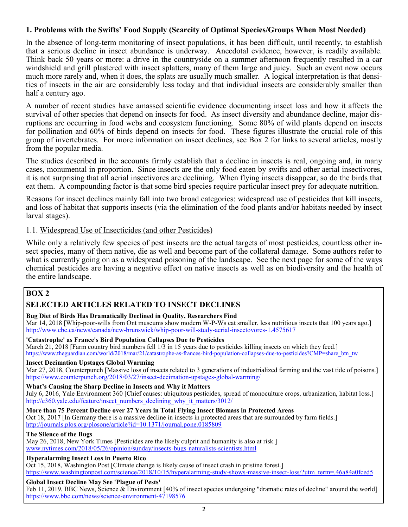### **1. Problems with the Swifts' Food Supply (Scarcity of Optimal Species/Groups When Most Needed)**

In the absence of long-term monitoring of insect populations, it has been difficult, until recently, to establish that a serious decline in insect abundance is underway. Anecdotal evidence, however, is readily available. Think back 50 years or more: a drive in the countryside on a summer afternoon frequently resulted in a car windshield and grill plastered with insect splatters, many of them large and juicy. Such an event now occurs much more rarely and, when it does, the splats are usually much smaller. A logical interpretation is that densities of insects in the air are considerably less today and that individual insects are considerably smaller than half a century ago.

A number of recent studies have amassed scientific evidence documenting insect loss and how it affects the survival of other species that depend on insects for food. As insect diversity and abundance decline, major disruptions are occurring in food webs and ecosystem functioning. Some 80% of wild plants depend on insects for pollination and 60% of birds depend on insects for food. These figures illustrate the crucial role of this group of invertebrates. For more information on insect declines, see Box 2 for links to several articles, mostly from the popular media.

The studies described in the accounts firmly establish that a decline in insects is real, ongoing and, in many cases, monumental in proportion. Since insects are the only food eaten by swifts and other aerial insectivores, it is not surprising that all aerial insectivores are declining. When flying insects disappear, so do the birds that eat them. A compounding factor is that some bird species require particular insect prey for adequate nutrition.

Reasons for insect declines mainly fall into two broad categories: widespread use of pesticides that kill insects, and loss of habitat that supports insects (via the elimination of the food plants and/or habitats needed by insect larval stages).

### 1.1. Widespread Use of Insecticides (and other Pesticides)

While only a relatively few species of pest insects are the actual targets of most pesticides, countless other insect species, many of them native, die as well and become part of the collateral damage. Some authors refer to what is currently going on as a widespread poisoning of the landscape. See the next page for some of the ways chemical pesticides are having a negative effect on native insects as well as on biodiversity and the health of the entire landscape.

# **BOX 2**

# **SELECTED ARTICLES RELATED TO INSECT DECLINES**

#### **Bug Diet of Birds Has Dramatically Declined in Quality, Researchers Find**

Mar 14, 2018 [Whip-poor-wills from Ont museums show modern W-P-Ws eat smaller, less nutritious insects that 100 years ago.] [http://www.cbc.ca/news/canada/new](http://www.cbc.ca/news/canada/new-brunswick/whip-poor-will-study-aerial-insectovores-1.4575617)-brunswick/whip-poor-will-study-aerial-insectovores-1.4575617

#### **'Catastrophe' as France's Bird Population Collapses Due to Pesticides**

March 21, 2018 [Farm country bird numbers fell 1/3 in 15 years due to pesticides killing insects on which they feed.] [https://www.theguardian.com/world/2018/mar/21/catastrophe](https://www.theguardian.com/world/2018/mar/21/catastrophe-as-frances-bird-population-collapses-due-to-pesticides?CMP=share_btn_tw)-as-frances-bird-population-collapses-due-to-pesticides?CMP=share\_btn\_tw

#### **[Insect Decimation Upstages Global Warming](https://www.counterpunch.org/2018/03/27/insect-decimation-upstages-global-warming/)**

Mar 27, 2018, Counterpunch [Massive loss of insects related to 3 generations of industrialized farming and the vast tide of poisons.] [https://www.counterpunch.org/2018/03/27/insect](https://www.counterpunch.org/2018/03/27/insect-decimation-upstages-global-warming/)-decimation-upstages-global-warming/

#### **What's Causing the Sharp Decline in Insects and Why it Matters**

July 6, 2016, Yale Environment 360 [Chief causes: ubiquitous pesticides, spread of monoculture crops, urbanization, habitat loss.] [http://e360.yale.edu/feature/insect\\_numbers\\_declining\\_why\\_it\\_matters/3012/](http://e360.yale.edu/feature/insect_numbers_declining_why_it_matters/3012/)

**More than 75 Percent Decline over 27 Years in Total Flying Insect Biomass in Protected Areas** Oct 18, 2017 [In Germany there is a massive decline in insects in protected areas that are surrounded by farm fields.] <http://journals.plos.org/plosone/article?id=10.1371/journal.pone.0185809>

#### **The Silence of the Bugs**

May 26, 2018, New York Times [Pesticides are the likely culprit and humanity is also at risk.] [www.nytimes.com/2018/05/26/opinion/sunday/insects](http://www.nytimes.com/2018/05/26/opinion/sunday/insects-bugs-naturalists-scientists.html)-bugs-naturalists-scientists.html

#### **Hyperalarming Insect Loss in Puerto Rico**

Oct 15, 2018, Washington Post [Climate change is likely cause of insect crash in pristine forest.] [https://www.washingtonpost.com/science/2018/10/15/hyperalarming](https://www.washingtonpost.com/science/2018/10/15/hyperalarming-study-shows-massive-insect-loss/?utm_term=.46a84a0fced5)-study-shows-massive-insect-loss/?utm\_term=.46a84a0fced5

#### **Global Insect Decline May See 'Plague of Pests'**

Feb 11, 2019, BBC News, Science & Environment [40% of insect species undergoing "dramatic rates of decline" around the world] [https://www.bbc.com/news/science](https://www.bbc.com/news/science-environment-47198576)-environment-47198576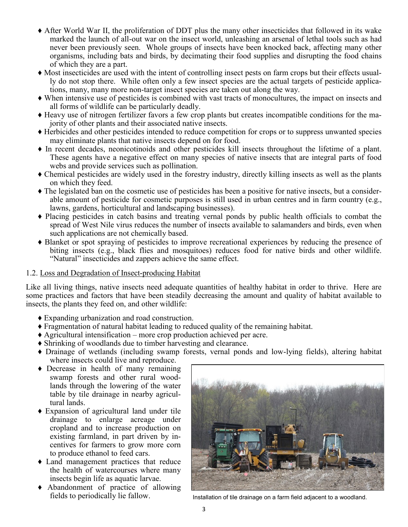- ♦ After World War II, the proliferation of DDT plus the many other insecticides that followed in its wake marked the launch of all-out war on the insect world, unleashing an arsenal of lethal tools such as had never been previously seen. Whole groups of insects have been knocked back, affecting many other organisms, including bats and birds, by decimating their food supplies and disrupting the food chains of which they are a part.
- ♦ Most insecticides are used with the intent of controlling insect pests on farm crops but their effects usually do not stop there. While often only a few insect species are the actual targets of pesticide applications, many, many more non-target insect species are taken out along the way.
- ♦ When intensive use of pesticides is combined with vast tracts of monocultures, the impact on insects and all forms of wildlife can be particularly deadly.
- ♦ Heavy use of nitrogen fertilizer favors a few crop plants but creates incompatible conditions for the majority of other plants and their associated native insects.
- ♦ Herbicides and other pesticides intended to reduce competition for crops or to suppress unwanted species may eliminate plants that native insects depend on for food.
- ♦ In recent decades, neonicotinoids and other pesticides kill insects throughout the lifetime of a plant. These agents have a negative effect on many species of native insects that are integral parts of food webs and provide services such as pollination.
- ♦ Chemical pesticides are widely used in the forestry industry, directly killing insects as well as the plants on which they feed.
- ♦ The legislated ban on the cosmetic use of pesticides has been a positive for native insects, but a considerable amount of pesticide for cosmetic purposes is still used in urban centres and in farm country (e.g., lawns, gardens, horticultural and landscaping businesses).
- ♦ Placing pesticides in catch basins and treating vernal ponds by public health officials to combat the spread of West Nile virus reduces the number of insects available to salamanders and birds, even when such applications are not chemically based.
- ♦ Blanket or spot spraying of pesticides to improve recreational experiences by reducing the presence of biting insects (e.g., black flies and mosquitoes) reduces food for native birds and other wildlife. "Natural" insecticides and zappers achieve the same effect.

### 1.2. Loss and Degradation of Insect-producing Habitat

Like all living things, native insects need adequate quantities of healthy habitat in order to thrive. Here are some practices and factors that have been steadily decreasing the amount and quality of habitat available to insects, the plants they feed on, and other wildlife:

- ♦ Expanding urbanization and road construction.
- ♦ Fragmentation of natural habitat leading to reduced quality of the remaining habitat.
- $\triangle$  Agricultural intensification more crop production achieved per acre.
- ♦ Shrinking of woodlands due to timber harvesting and clearance.
- ♦ Drainage of wetlands (including swamp forests, vernal ponds and low-lying fields), altering habitat where insects could live and reproduce.
- ♦ Decrease in health of many remaining swamp forests and other rural woodlands through the lowering of the water table by tile drainage in nearby agricultural lands.
- ♦ Expansion of agricultural land under tile drainage to enlarge acreage under cropland and to increase production on existing farmland, in part driven by incentives for farmers to grow more corn to produce ethanol to feed cars.
- ♦ Land management practices that reduce the health of watercourses where many insects begin life as aquatic larvae.
- ♦ Abandonment of practice of allowing



fields to periodically lie fallow. Installation of tile drainage on a farm field adjacent to a woodland.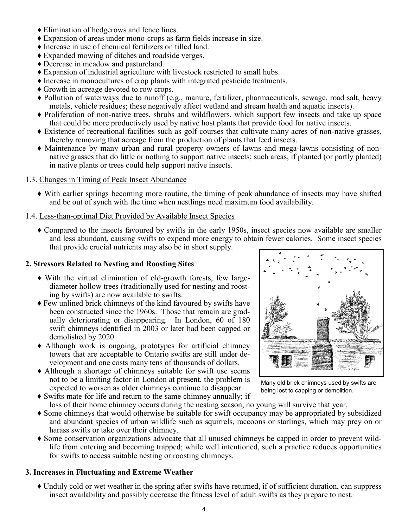- ♦ Elimination of hedgerows and fence lines.
- ♦ Expansion of areas under mono-crops as farm fields increase in size.
- ♦ Increase in use of chemical fertilizers on tilled land.
- ♦ Expanded mowing of ditches and roadside verges.
- ♦ Decrease in meadow and pastureland.
- ♦ Expansion of industrial agriculture with livestock restricted to small hubs.
- ♦ Increase in monocultures of crop plants with integrated pesticide treatments.
- ♦ Growth in acreage devoted to row crops.
- ♦ Pollution of waterways due to runoff (e.g., manure, fertilizer, pharmaceuticals, sewage, road salt, heavy metals, vehicle residues; these negatively affect wetland and stream health and aquatic insects).
- ♦ Proliferation of non-native trees, shrubs and wildflowers, which support few insects and take up space that could be more productively used by native host plants that provide food for native insects.
- ♦ Existence of recreational facilities such as golf courses that cultivate many acres of non-native grasses, thereby removing that acreage from the production of plants that feed insects.
- ♦ Maintenance by many urban and rural property owners of lawns and mega-lawns consisting of nonnative grasses that do little or nothing to support native insects; such areas, if planted (or partly planted) in native plants or trees could help support native insects.
- 1.3. Changes in Timing of Peak Insect Abundance
	- ♦ With earlier springs becoming more routine, the timing of peak abundance of insects may have shifted and be out of synch with the time when nestlings need maximum food availability.

### 1.4. Less-than-optimal Diet Provided by Available Insect Species

♦ Compared to the insects favoured by swifts in the early 1950s, insect species now available are smaller and less abundant, causing swifts to expend more energy to obtain fewer calories. Some insect species that provide crucial nutrients may also be in short supply.

### **2. Stressors Related to Nesting and Roosting Sites**

- ♦ With the virtual elimination of old-growth forests, few largediameter hollow trees (traditionally used for nesting and roosting by swifts) are now available to swifts.
- ♦ Few unlined brick chimneys of the kind favoured by swifts have been constructed since the 1960s. Those that remain are gradually deteriorating or disappearing. In London, 60 of 180 swift chimneys identified in 2003 or later had been capped or demolished by 2020.
- ♦ Although work is ongoing, prototypes for artificial chimney towers that are acceptable to Ontario swifts are still under development and one costs many tens of thousands of dollars.
- ♦ Although a shortage of chimneys suitable for swift use seems not to be a limiting factor in London at present, the problem is expected to worsen as older chimneys continue to disappear.
- ♦ Swifts mate for life and return to the same chimney annually; if loss of their home chimney occurs during the nesting season, no young will survive that year.
- ♦ Some chimneys that would otherwise be suitable for swift occupancy may be appropriated by subsidized and abundant species of urban wildlife such as squirrels, raccoons or starlings, which may prey on or harass swifts or take over their chimney.
- ♦ Some conservation organizations advocate that all unused chimneys be capped in order to prevent wildlife from entering and becoming trapped; while well intentioned, such a practice reduces opportunities for swifts to access suitable nesting or roosting chimneys.

### **3. Increases in Fluctuating and Extreme Weather**

♦ Unduly cold or wet weather in the spring after swifts have returned, if of sufficient duration, can suppress insect availability and possibly decrease the fitness level of adult swifts as they prepare to nest.



Many old brick chimneys used by swifts are being lost to capping or demolition.